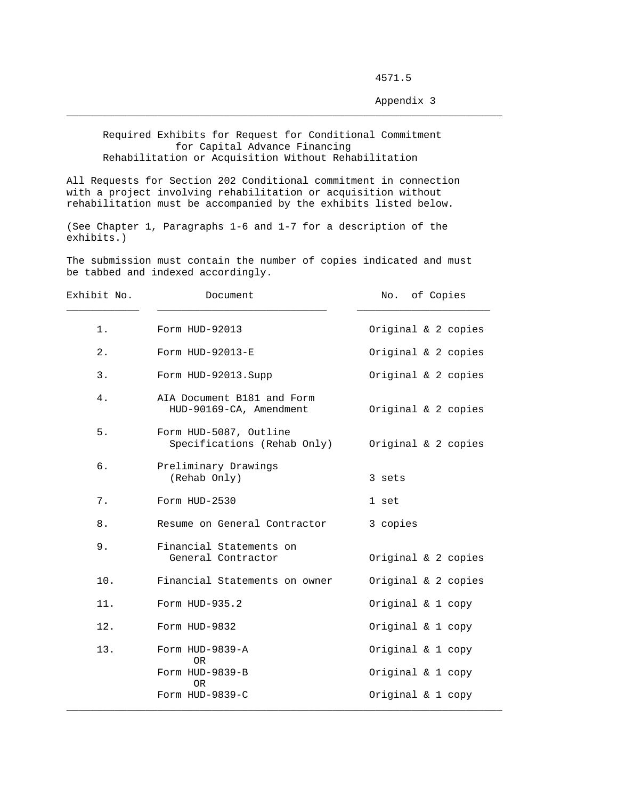4571.5

Appendix 3

 Required Exhibits for Request for Conditional Commitment for Capital Advance Financing Rehabilitation or Acquisition Without Rehabilitation

 $\_$  ,  $\_$  ,  $\_$  ,  $\_$  ,  $\_$  ,  $\_$  ,  $\_$  ,  $\_$  ,  $\_$  ,  $\_$  ,  $\_$  ,  $\_$  ,  $\_$  ,  $\_$  ,  $\_$  ,  $\_$  ,  $\_$  ,  $\_$  ,  $\_$  ,  $\_$  ,  $\_$  ,  $\_$  ,  $\_$  ,  $\_$  ,  $\_$  ,  $\_$  ,  $\_$  ,  $\_$  ,  $\_$  ,  $\_$  ,  $\_$  ,  $\_$  ,  $\_$  ,  $\_$  ,  $\_$  ,  $\_$  ,  $\_$  ,

All Requests for Section 202 Conditional commitment in connection with a project involving rehabilitation or acquisition without rehabilitation must be accompanied by the exhibits listed below.

(See Chapter 1, Paragraphs 1-6 and 1-7 for a description of the exhibits.)

The submission must contain the number of copies indicated and must be tabbed and indexed accordingly.

| Exhibit No. | Document                                              | of Copies<br>No.    |
|-------------|-------------------------------------------------------|---------------------|
| 1.          | Form HUD-92013                                        | Original & 2 copies |
| 2.          | Form HUD-92013-E                                      | Original & 2 copies |
| 3.          | Form HUD-92013.Supp                                   | Original & 2 copies |
| 4.          | AIA Document B181 and Form<br>HUD-90169-CA, Amendment | Original & 2 copies |
| 5.          | Form HUD-5087, Outline<br>Specifications (Rehab Only) | Original & 2 copies |
| б.          | Preliminary Drawings<br>(Rehab Only)                  | 3 sets              |
| 7.          | Form HUD-2530                                         | 1 set               |
| 8.          | Resume on General Contractor                          | 3 copies            |
| 9.          | Financial Statements on<br>General Contractor         | Original & 2 copies |
| 10.         | Financial Statements on owner                         | Original & 2 copies |
| 11.         | Form HUD-935.2                                        | Original & 1 copy   |
| 12.         | Form HUD-9832                                         | Original & 1 copy   |
| 13.         | Form HUD-9839-A<br>0 <sub>R</sub>                     | Original & 1 copy   |
|             | Form HUD-9839-B<br><b>OR</b>                          | Original & 1 copy   |
|             | Form HUD-9839-C                                       | Original & 1 copy   |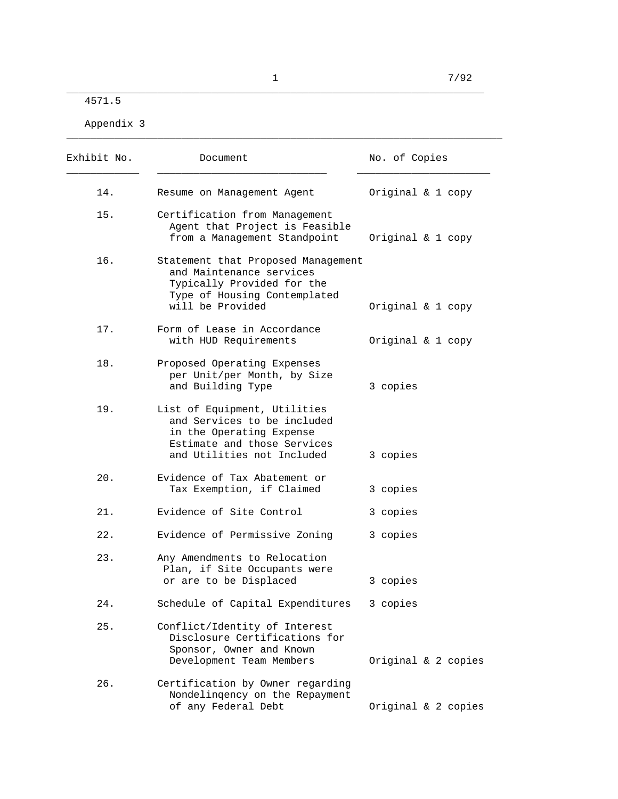\_\_\_\_\_\_\_\_\_\_\_\_\_\_\_\_\_\_\_\_\_\_\_\_\_\_\_\_\_\_\_\_\_\_\_\_\_\_\_\_\_\_\_\_\_\_\_\_\_\_\_\_\_\_\_\_\_\_\_\_\_\_\_\_\_\_\_\_\_ 4571.5

Appendix 3

| Exhibit No. | Document                                                                                                                                             | No. of Copies       |
|-------------|------------------------------------------------------------------------------------------------------------------------------------------------------|---------------------|
| 14.         | Resume on Management Agent                                                                                                                           | Original & 1 copy   |
| 15.         | Certification from Management<br>Agent that Project is Feasible<br>from a Management Standpoint                                                      | Original & 1 copy   |
| 16.         | Statement that Proposed Management<br>and Maintenance services<br>Typically Provided for the<br>Type of Housing Contemplated<br>will be Provided     | Original & 1 copy   |
| 17.         | Form of Lease in Accordance<br>with HUD Requirements                                                                                                 | Original & 1 copy   |
| 18.         | Proposed Operating Expenses<br>per Unit/per Month, by Size<br>and Building Type                                                                      | 3 copies            |
| 19.         | List of Equipment, Utilities<br>and Services to be included<br>in the Operating Expense<br>Estimate and those Services<br>and Utilities not Included | 3 copies            |
| 20.         | Evidence of Tax Abatement or<br>Tax Exemption, if Claimed                                                                                            | 3 copies            |
| 21.         | Evidence of Site Control                                                                                                                             | 3 copies            |
| 22.         | Evidence of Permissive Zoning                                                                                                                        | 3 copies            |
| 23.         | Any Amendments to Relocation<br>Plan, if Site Occupants were<br>or are to be Displaced                                                               | 3 copies            |
| 24.         | Schedule of Capital Expenditures                                                                                                                     | 3 copies            |
| 25.         | Conflict/Identity of Interest<br>Disclosure Certifications for<br>Sponsor, Owner and Known<br>Development Team Members                               | Original & 2 copies |
| 26.         | Certification by Owner regarding<br>Nondelingency on the Repayment<br>of any Federal Debt                                                            | Original & 2 copies |

\_\_\_\_\_\_\_\_\_\_\_\_\_\_\_\_\_\_\_\_\_\_\_\_\_\_\_\_\_\_\_\_\_\_\_\_\_\_\_\_\_\_\_\_\_\_\_\_\_\_\_\_\_\_\_\_\_\_\_\_\_\_\_\_\_\_\_\_\_\_\_\_